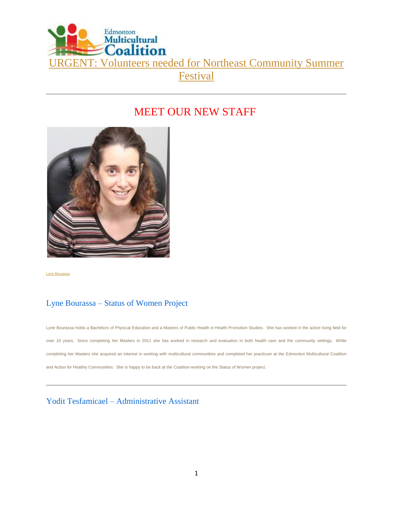

# MEET OUR NEW STAFF



[Lyne Bourassa](http://www.emcoalition.ca/wp-content/uploads/2014/06/LyneBourassa_women1.jpg)

# Lyne Bourassa – Status of Women Project

Lyne Bourassa holds a Bachelors of Physical Education and a Masters of Public Health in Health Promotion Studies. She has worked in the active living field for over 10 years. Since completing her Masters in 2011 she has worked in research and evaluation in both health care and the community settings. While completing her Masters she acquired an interest in working with multicultural communities and completed her practicum at the Edmonton Multicultural Coalition and Action for Healthy Communities. She is happy to be back at the Coalition working on the Status of Women project.

## Yodit Tesfamicael – Administrative Assistant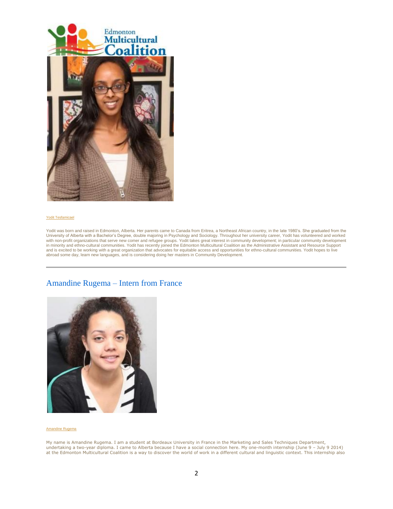

#### [Yodit Tesfamicael](http://www.emcoalition.ca/wp-content/uploads/2014/06/YoditTesfamicael1.jpg)

Yodit was born and raised in Edmonton, Alberta. Her parents came to Canada from Eritrea, a Northeast African country, in the late 1980's. She graduated from the University of Alberta with a Bachelor's Degree, double majoring in Psychology and Sociology. Throughout her university career, Yodit has volunteered and worked with non-profit organizations that serve new comer and refugee groups. Yodit takes great interest in community development; in particular community development in minority and ethno-cultural communities. Yodit has recently joined the Edmonton Multicultural Coalition as the Administrative Assistant and Resource Support and is excited to be working with a great organization that advocates for equitable access and opportunities for ethno-cultural communities. Yodit hopes to live<br>abroad some day, learn new languages, and is considering doin

### Amandine Rugema – Intern from France



#### [Amandine Rugema](http://www.emcoalition.ca/wp-content/uploads/2014/06/AmandineRugema_internship1.jpg)

My name is Amandine Rugema. I am a student at Bordeaux University in France in the Marketing and Sales Techniques Department, undertaking a two-year diploma. I came to Alberta because I have a social connection here. My one-month internship (June 9 – July 9 2014) at the Edmonton Multicultural Coalition is a way to discover the world of work in a different cultural and linguistic context. This internship also